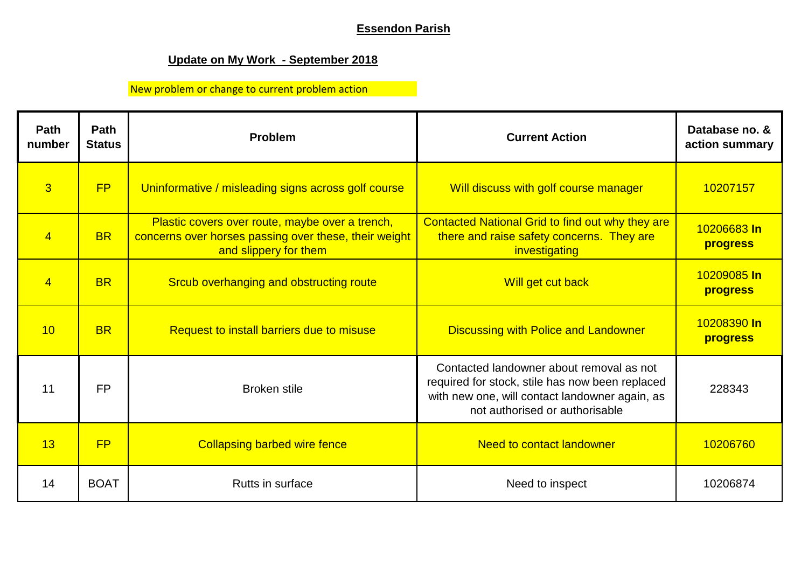## **Essendon Parish**

## **Update on My Work - September 2018**

## New problem or change to current problem action

| Path<br>number | Path<br><b>Status</b> | Problem                                                                                                                           | <b>Current Action</b>                                                                                                                                                           | Database no. &<br>action summary |
|----------------|-----------------------|-----------------------------------------------------------------------------------------------------------------------------------|---------------------------------------------------------------------------------------------------------------------------------------------------------------------------------|----------------------------------|
| $\overline{3}$ | <b>FP</b>             | Uninformative / misleading signs across golf course                                                                               | Will discuss with golf course manager                                                                                                                                           | 10207157                         |
| $\overline{4}$ | <b>BR</b>             | Plastic covers over route, maybe over a trench,<br>concerns over horses passing over these, their weight<br>and slippery for them | Contacted National Grid to find out why they are<br>there and raise safety concerns. They are<br>investigating                                                                  | 10206683 In<br>progress          |
| $\overline{4}$ | <b>BR</b>             | Srcub overhanging and obstructing route                                                                                           | Will get cut back                                                                                                                                                               | 10209085 In<br>progress          |
| 10             | <b>BR</b>             | Request to install barriers due to misuse                                                                                         | <b>Discussing with Police and Landowner</b>                                                                                                                                     | 10208390 In<br>progress          |
| 11             | <b>FP</b>             | <b>Broken stile</b>                                                                                                               | Contacted landowner about removal as not<br>required for stock, stile has now been replaced<br>with new one, will contact landowner again, as<br>not authorised or authorisable | 228343                           |
| 13             | FP                    | <b>Collapsing barbed wire fence</b>                                                                                               | <b>Need to contact landowner</b>                                                                                                                                                | 10206760                         |
| 14             | <b>BOAT</b>           | Rutts in surface                                                                                                                  | Need to inspect                                                                                                                                                                 | 10206874                         |